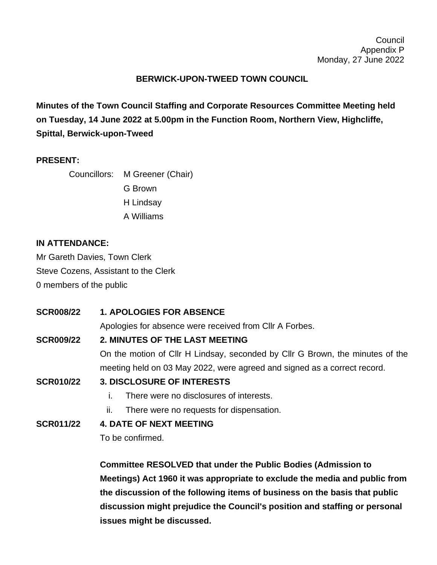## **BERWICK-UPON-TWEED TOWN COUNCIL**

**Minutes of the Town Council Staffing and Corporate Resources Committee Meeting held on Tuesday, 14 June 2022 at 5.00pm in the Function Room, Northern View, Highcliffe, Spittal, Berwick-upon-Tweed**

## **PRESENT:**

Councillors: M Greener (Chair)

- G Brown
- H Lindsay
- A Williams

## **IN ATTENDANCE:**

Mr Gareth Davies, Town Clerk Steve Cozens, Assistant to the Clerk 0 members of the public

| <b>SCR008/22</b> | <b>1. APOLOGIES FOR ABSENCE</b>                                               |
|------------------|-------------------------------------------------------------------------------|
|                  | Apologies for absence were received from CIIr A Forbes.                       |
| <b>SCR009/22</b> | 2. MINUTES OF THE LAST MEETING                                                |
|                  | On the motion of Cllr H Lindsay, seconded by Cllr G Brown, the minutes of the |
|                  | meeting held on 03 May 2022, were agreed and signed as a correct record.      |
| <b>SCR010/22</b> | <b>3. DISCLOSURE OF INTERESTS</b>                                             |
|                  | There were no disclosures of interests.                                       |
|                  | There were no requests for dispensation.<br>н.                                |
| <b>SCR011/22</b> | <b>4. DATE OF NEXT MEETING</b>                                                |
|                  | To be confirmed.                                                              |
|                  |                                                                               |
|                  |                                                                               |

**Committee RESOLVED that under the Public Bodies (Admission to Meetings) Act 1960 it was appropriate to exclude the media and public from the discussion of the following items of business on the basis that public discussion might prejudice the Council's position and staffing or personal issues might be discussed.**